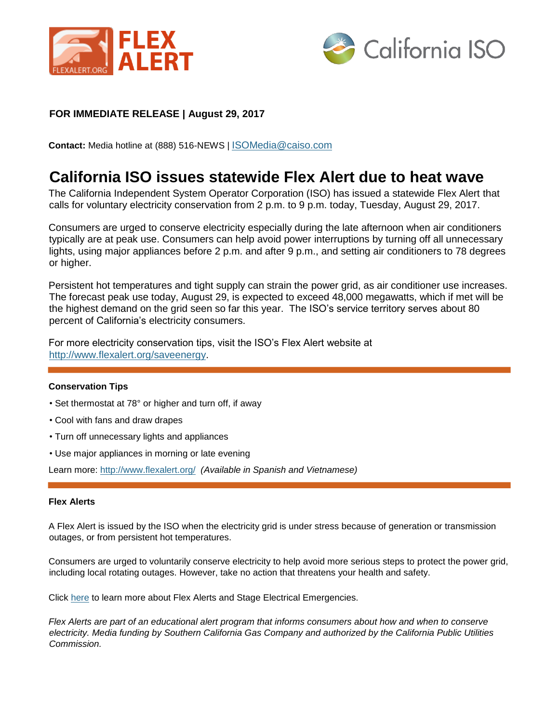



## **FOR IMMEDIATE RELEASE | August 29, 2017**

**Contact:** Media hotline at (888) 516-NEWS | ISOMedia@caiso.com

## **California ISO issues statewide Flex Alert due to heat wave**

The California Independent System Operator Corporation (ISO) has issued a statewide Flex Alert that calls for voluntary electricity conservation from 2 p.m. to 9 p.m. today, Tuesday, August 29, 2017.

Consumers are urged to conserve electricity especially during the late afternoon when air conditioners typically are at peak use. Consumers can help avoid power interruptions by turning off all unnecessary lights, using major appliances before 2 p.m. and after 9 p.m., and setting air conditioners to 78 degrees or higher.

Persistent hot temperatures and tight supply can strain the power grid, as air conditioner use increases. The forecast peak use today, August 29, is expected to exceed 48,000 megawatts, which if met will be the highest demand on the grid seen so far this year. The ISO's service territory serves about 80 percent of California's electricity consumers.

For more electricity conservation tips, visit the ISO's Flex Alert website at [http://www.flexalert.org/saveenergy.](http://www.flexalert.org/save-energy)

## **Conservation Tips**

- Set thermostat at 78° or higher and turn off, if away
- Cool with fans and draw drapes
- Turn off unnecessary lights and appliances
- Use major appliances in morning or late evening

Learn more:<http://www.flexalert.org/> *(Available in Spanish and Vietnamese)*

## **Flex Alerts**

A Flex Alert is issued by the ISO when the electricity grid is under stress because of generation or transmission outages, or from persistent hot temperatures.

Consumers are urged to voluntarily conserve electricity to help avoid more serious steps to protect the power grid, including local rotating outages. However, take no action that threatens your health and safety.

Click [here](http://www.caiso.com/Documents/EmergencyFactSheet.pdf) to learn more about Flex Alerts and Stage Electrical Emergencies.

*Flex Alerts are part of an educational alert program that informs consumers about how and when to conserve electricity. Media funding by Southern California Gas Company and authorized by the California Public Utilities Commission.*